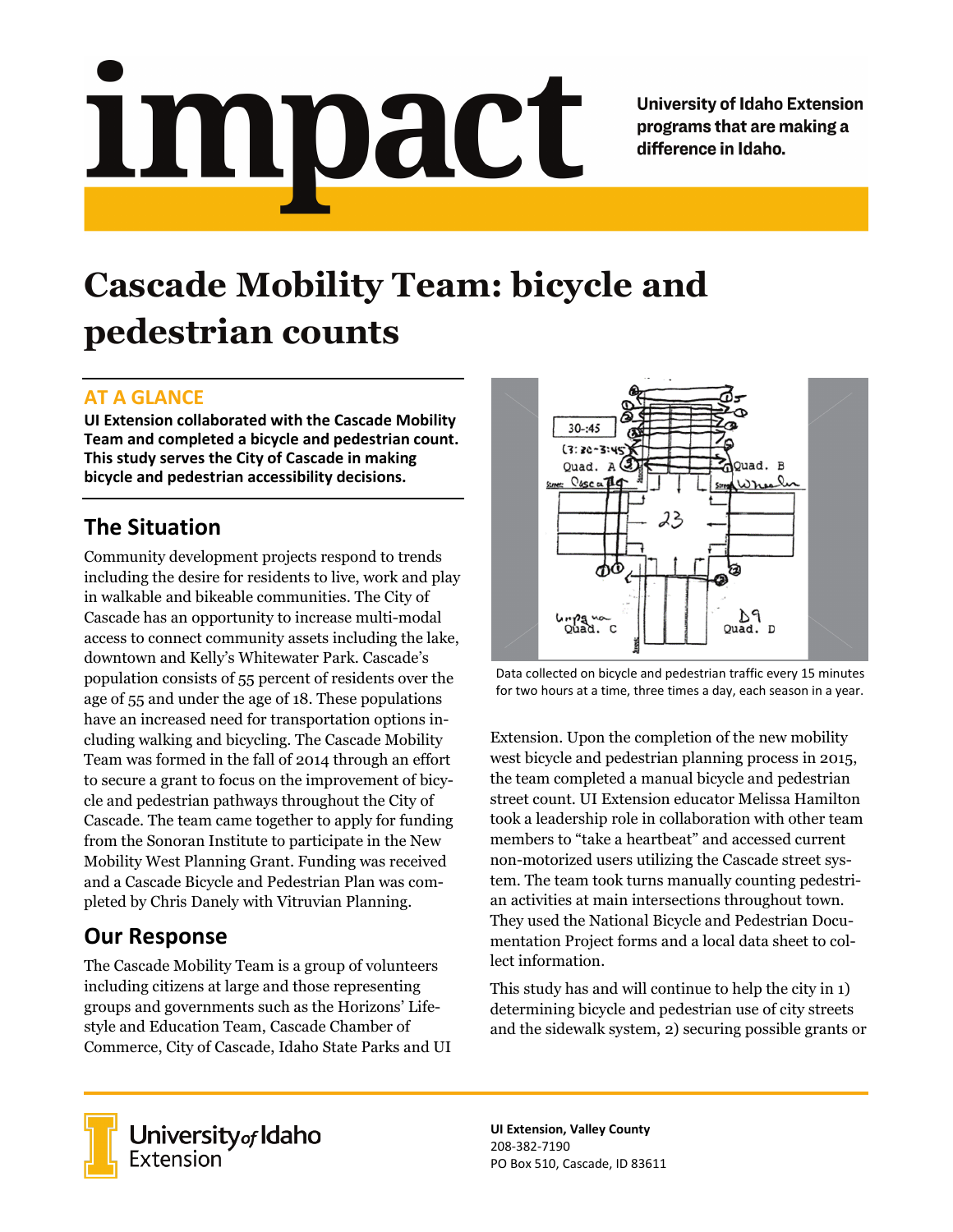<u>impact</u>

**University of Idaho Extension** programs that are making a difference in Idaho.

# **Cascade Mobility Team: bicycle and pedestrian counts**

## **AT A GLANCE**

**UI Extension collaborated with the Cascade Mobility Team and completed a bicycle and pedestrian count. This study serves the City of Cascade in making bicycle and pedestrian accessibility decisions.**

## **The Situation**

Community development projects respond to trends including the desire for residents to live, work and play in walkable and bikeable communities. The City of Cascade has an opportunity to increase multi-modal access to connect community assets including the lake, downtown and Kelly's Whitewater Park. Cascade's population consists of 55 percent of residents over the age of 55 and under the age of 18. These populations have an increased need for transportation options including walking and bicycling. The Cascade Mobility Team was formed in the fall of 2014 through an effort to secure a grant to focus on the improvement of bicycle and pedestrian pathways throughout the City of Cascade. The team came together to apply for funding from the Sonoran Institute to participate in the New Mobility West Planning Grant. Funding was received and a Cascade Bicycle and Pedestrian Plan was completed by Chris Danely with Vitruvian Planning.

# **Our Response**

The Cascade Mobility Team is a group of volunteers including citizens at large and those representing groups and governments such as the Horizons' Lifestyle and Education Team, Cascade Chamber of Commerce, City of Cascade, Idaho State Parks and UI



Data collected on bicycle and pedestrian traffic every 15 minutes for two hours at a time, three times a day, each season in a year.

Extension. Upon the completion of the new mobility west bicycle and pedestrian planning process in 2015, the team completed a manual bicycle and pedestrian street count. UI Extension educator Melissa Hamilton took a leadership role in collaboration with other team members to "take a heartbeat" and accessed current non-motorized users utilizing the Cascade street system. The team took turns manually counting pedestrian activities at main intersections throughout town. They used the National Bicycle and Pedestrian Documentation Project forms and a local data sheet to collect information.

This study has and will continue to help the city in 1) determining bicycle and pedestrian use of city streets and the sidewalk system, 2) securing possible grants or



**University** of Idaho<br>Extension

**UI Extension, Valley County** 208-382-7190 PO Box 510, Cascade, ID 83611